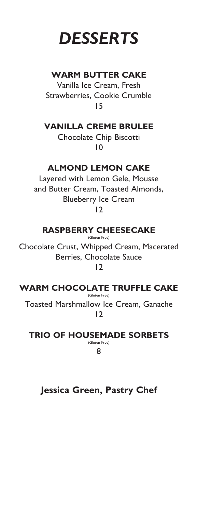# *DESSERTS*

#### **WARM BUTTER CAKE**

Vanilla Ice Cream, Fresh Strawberries, Cookie Crumble 15

**VANILLA CREME BRULEE**

Chocolate Chip Biscotti 10

### **ALMOND LEMON CAKE**

Layered with Lemon Gele, Mousse and Butter Cream, Toasted Almonds, Blueberry Ice Cream 12

#### **RASPBERRY CHEESECAKE**

(Gluten Free)

Chocolate Crust, Whipped Cream, Macerated Berries, Chocolate Sauce 12

**WARM CHOCOLATE TRUFFLE CAKE** (Gluten Free)

Toasted Marshmallow Ice Cream, Ganache 12

**TRIO OF HOUSEMADE SORBETS** (Gluten Free)

8

## **Jessica Green, Pastry Chef**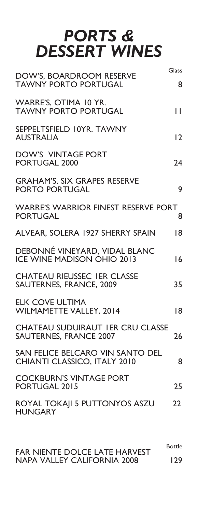## *PORTS & DESSERT WINES*

| DOW'S, BOARDROOM RESERVE<br><b>TAWNY PORTO PORTUGAL</b>                  | Glass<br>8        |
|--------------------------------------------------------------------------|-------------------|
| WARRE'S, OTIMA 10 YR.<br><b>TAWNY PORTO PORTUGAL</b>                     | П                 |
| SEPPELTSFIELD 10YR. TAWNY<br><b>AUSTRALIA</b>                            | $\overline{2}$    |
| <b>DOW'S VINTAGE PORT</b><br>PORTUGAL 2000                               | 24                |
| <b>GRAHAM'S, SIX GRAPES RESERVE</b><br><b>PORTO PORTUGAL</b>             | 9                 |
| <b>WARRE'S WARRIOR FINEST RESERVE PORT</b><br><b>PORTUGAL</b>            | 8                 |
| ALVEAR, SOLERA 1927 SHERRY SPAIN                                         | 18                |
| DEBONNÉ VINEYARD, VIDAL BLANC<br><b>ICE WINE MADISON OHIO 2013</b>       | 16                |
| <b>CHATEAU RIEUSSEC IER CLASSE</b><br><b>SAUTERNES, FRANCE, 2009</b>     | 35                |
| <b>ELK COVE ULTIMA</b><br><b>WILMAMETTE VALLEY, 2014</b>                 | 18                |
| <b>CHATEAU SUDUIRAUT IER CRU CLASSE</b><br><b>SAUTERNES, FRANCE 2007</b> | 26                |
| SAN FELICE BELCARO VIN SANTO DEL<br>CHIANTI CLASSICO, ITALY 2010         | 8                 |
| <b>COCKBURN'S VINTAGE PORT</b><br>PORTUGAL 2015                          | 25                |
| ROYAL TOKAJI 5 PUTTONYOS ASZU<br><b>HUNGARY</b>                          | $22 \overline{)}$ |
|                                                                          |                   |

Bottle FAR NIENTE DOLCE LATE HARVEST NAPA VALLEY CALIFORNIA 2008 129